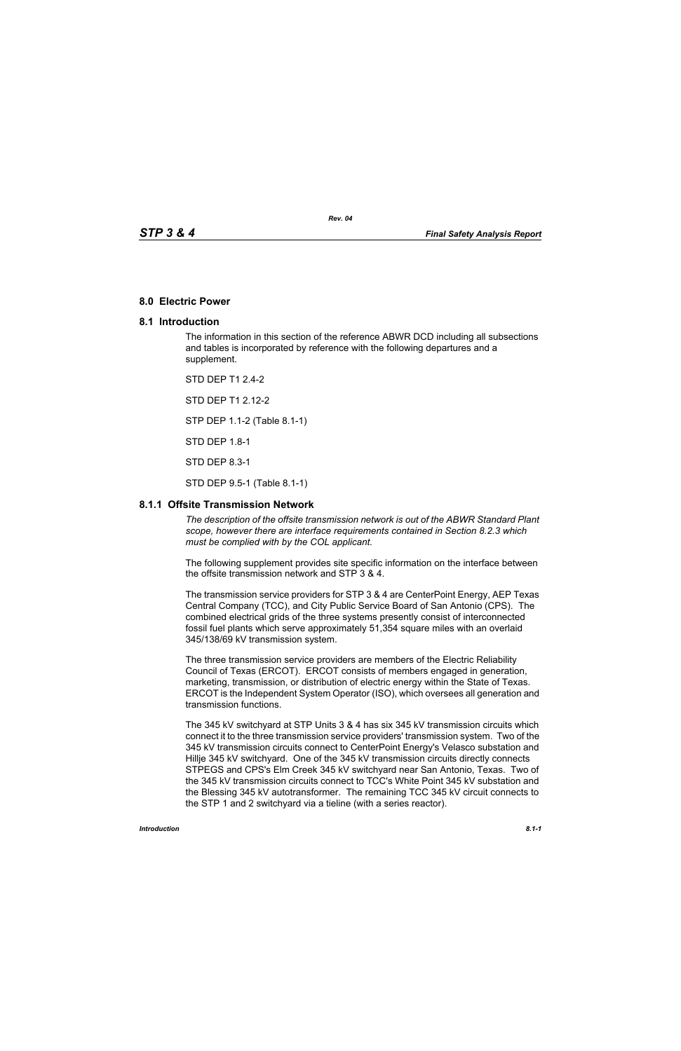#### **8.0 Electric Power**

#### **8.1 Introduction**

The information in this section of the reference ABWR DCD including all subsections and tables is incorporated by reference with the following departures and a supplement.

*Rev. 04*

STD DEP T1 2.4-2 STD DEP T1 2.12-2 STP DEP 1.1-2 (Table 8.1-1) STD DEP 1.8-1 STD DEP 8.3-1 STD DEP 9.5-1 (Table 8.1-1)

### **8.1.1 Offsite Transmission Network**

*The description of the offsite transmission network is out of the ABWR Standard Plant scope, however there are interface requirements contained in Section 8.2.3 which must be complied with by the COL applicant.* 

The following supplement provides site specific information on the interface between the offsite transmission network and STP 3 & 4.

The transmission service providers for STP 3 & 4 are CenterPoint Energy, AEP Texas Central Company (TCC), and City Public Service Board of San Antonio (CPS). The combined electrical grids of the three systems presently consist of interconnected fossil fuel plants which serve approximately 51,354 square miles with an overlaid 345/138/69 kV transmission system.

The three transmission service providers are members of the Electric Reliability Council of Texas (ERCOT). ERCOT consists of members engaged in generation, marketing, transmission, or distribution of electric energy within the State of Texas. ERCOT is the Independent System Operator (ISO), which oversees all generation and transmission functions.

The 345 kV switchyard at STP Units 3 & 4 has six 345 kV transmission circuits which connect it to the three transmission service providers' transmission system. Two of the 345 kV transmission circuits connect to CenterPoint Energy's Velasco substation and Hillje 345 kV switchyard. One of the 345 kV transmission circuits directly connects STPEGS and CPS's Elm Creek 345 kV switchyard near San Antonio, Texas. Two of the 345 kV transmission circuits connect to TCC's White Point 345 kV substation and the Blessing 345 kV autotransformer. The remaining TCC 345 kV circuit connects to the STP 1 and 2 switchyard via a tieline (with a series reactor).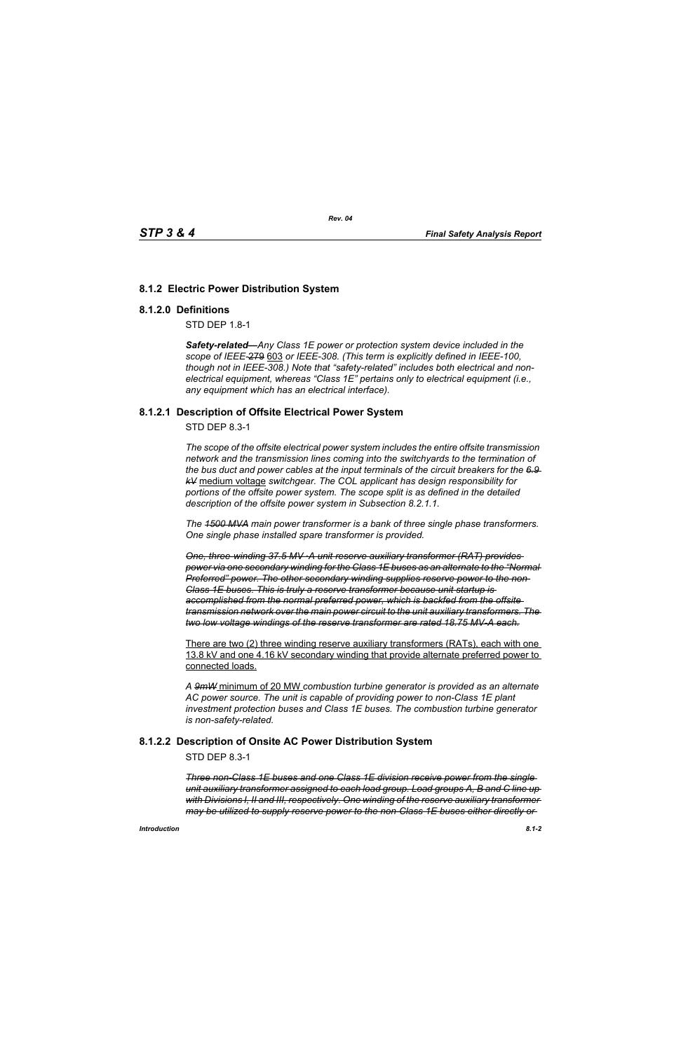# **8.1.2 Electric Power Distribution System**

### **8.1.2.0 Definitions**

STD DEP 1.8-1

*Safety-related—Any Class 1E power or protection system device included in the scope of IEEE-*279 603 *or IEEE-308. (This term is explicitly defined in IEEE-100, though not in IEEE-308.) Note that "safety-related" includes both electrical and nonelectrical equipment, whereas "Class 1E" pertains only to electrical equipment (i.e., any equipment which has an electrical interface).*

### **8.1.2.1 Description of Offsite Electrical Power System**

STD DEP 8.3-1

*The scope of the offsite electrical power system includes the entire offsite transmission network and the transmission lines coming into the switchyards to the termination of the bus duct and power cables at the input terminals of the circuit breakers for the 6.9 kV* medium voltage *switchgear. The COL applicant has design responsibility for portions of the offsite power system. The scope split is as defined in the detailed description of the offsite power system in Subsection 8.2.1.1.*

*The 1500 MVA main power transformer is a bank of three single phase transformers. One single phase installed spare transformer is provided.*

*One, three-winding 37.5 MV ·A unit reserve auxiliary transformer (RAT) provides power via one secondary winding for the Class 1E buses as an alternate to the "Normal Preferred" power. The other secondary winding supplies reserve power to the non-Class 1E buses. This is truly a reserve transformer because unit startup is accomplished from the normal preferred power, which is backfed from the offsite transmission network over the main power circuit to the unit auxiliary transformers. The two low voltage windings of the reserve transformer are rated 18.75 MV-A each.*

There are two (2) three winding reserve auxiliary transformers (RATs), each with one 13.8 kV and one 4.16 kV secondary winding that provide alternate preferred power to connected loads.

*A 9mW* minimum of 20 MW *combustion turbine generator is provided as an alternate AC power source. The unit is capable of providing power to non-Class 1E plant investment protection buses and Class 1E buses. The combustion turbine generator is non-safety-related.*

## **8.1.2.2 Description of Onsite AC Power Distribution System**

STD DEP 8.3-1

*Three non-Class 1E buses and one Class 1E division receive power from the single unit auxiliary transformer assigned to each load group. Load groups A, B and C line up with Divisions I, II and III, respectively. One winding of the reserve auxiliary transformer may be utilized to supply reserve power to the non-Class 1E buses either directly or*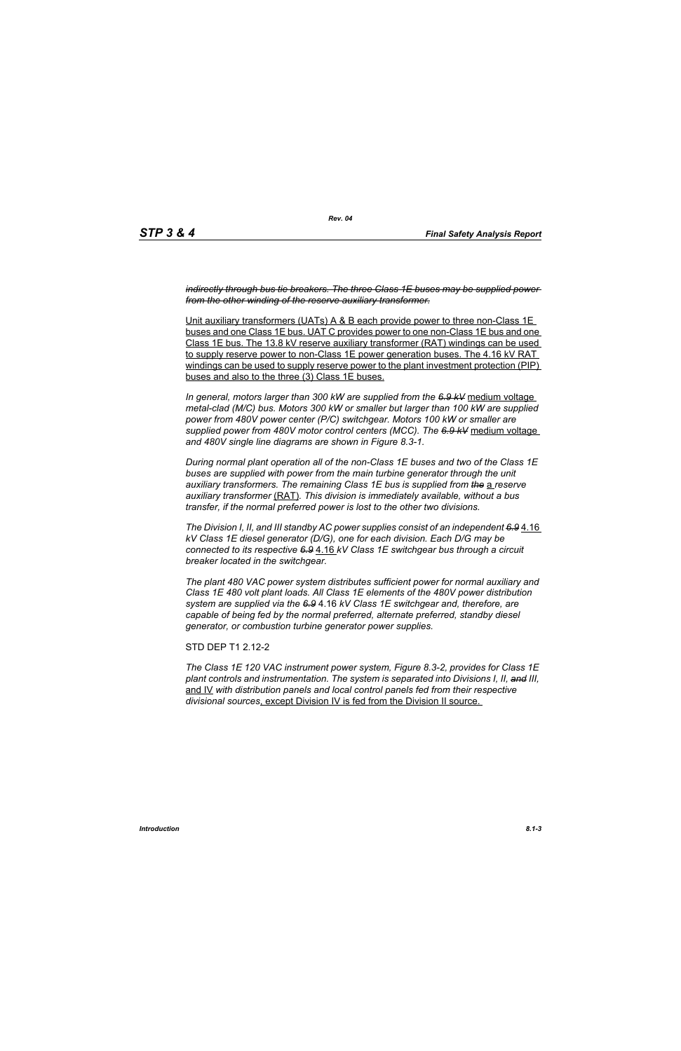*indirectly through bus tie breakers. The three Class 1E buses may be supplied power from the other winding of the reserve auxiliary transformer.*

Unit auxiliary transformers (UATs) A & B each provide power to three non-Class 1E buses and one Class 1E bus. UAT C provides power to one non-Class 1E bus and one Class 1E bus. The 13.8 kV reserve auxiliary transformer (RAT) windings can be used to supply reserve power to non-Class 1E power generation buses. The 4.16 kV RAT windings can be used to supply reserve power to the plant investment protection (PIP) buses and also to the three (3) Class 1E buses.

*In general, motors larger than 300 kW are supplied from the 6.9 kV* medium voltage *metal-clad (M/C) bus. Motors 300 kW or smaller but larger than 100 kW are supplied power from 480V power center (P/C) switchgear. Motors 100 kW or smaller are supplied power from 480V motor control centers (MCC). The 6.9 kV* medium voltage *and 480V single line diagrams are shown in Figure 8.3-1.*

*During normal plant operation all of the non-Class 1E buses and two of the Class 1E*  buses are supplied with power from the main turbine generator through the unit *auxiliary transformers. The remaining Class 1E bus is supplied from the* a *reserve auxiliary transformer* (RAT)*. This division is immediately available, without a bus transfer, if the normal preferred power is lost to the other two divisions.*

*The Division I, II, and III standby AC power supplies consist of an independent 6.9* 4.16 *kV Class 1E diesel generator (D/G), one for each division. Each D/G may be connected to its respective 6.9* 4.16 *kV Class 1E switchgear bus through a circuit breaker located in the switchgear.*

*The plant 480 VAC power system distributes sufficient power for normal auxiliary and Class 1E 480 volt plant loads. All Class 1E elements of the 480V power distribution system are supplied via the 6.9* 4.16 *kV Class 1E switchgear and, therefore, are capable of being fed by the normal preferred, alternate preferred, standby diesel generator, or combustion turbine generator power supplies.*

STD DEP T1 2.12-2

*The Class 1E 120 VAC instrument power system, Figure 8.3-2, provides for Class 1E plant controls and instrumentation. The system is separated into Divisions I, II, and III,* and IV *with distribution panels and local control panels fed from their respective divisional sources*, except Division IV is fed from the Division II source.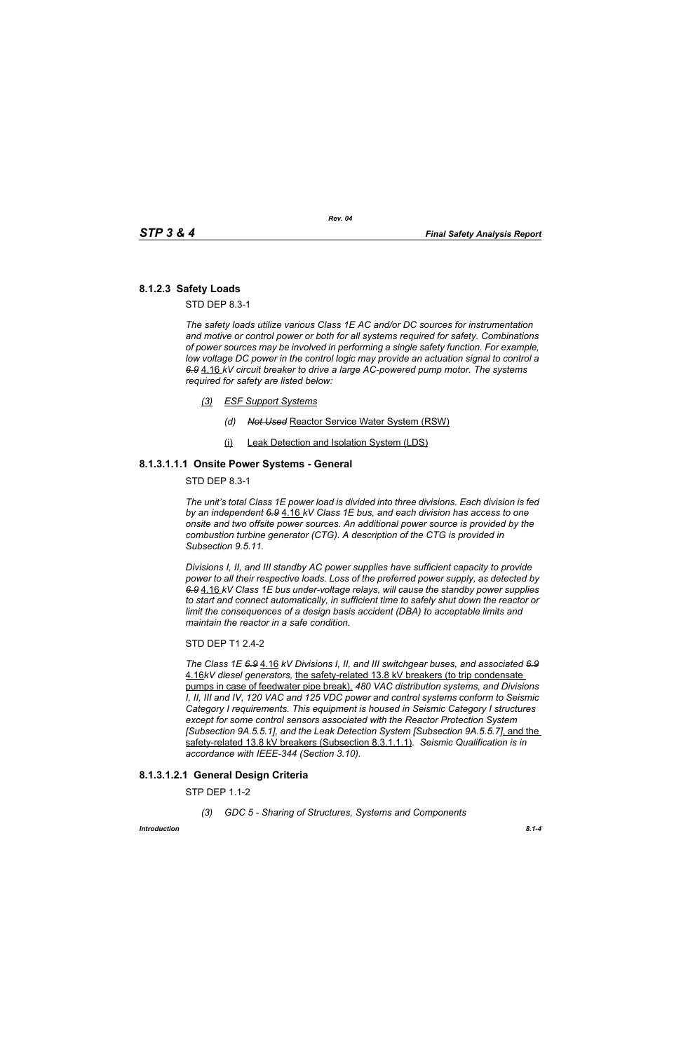# **8.1.2.3 Safety Loads**

STD DEP 8.3-1

*The safety loads utilize various Class 1E AC and/or DC sources for instrumentation and motive or control power or both for all systems required for safety. Combinations of power sources may be involved in performing a single safety function. For example, low voltage DC power in the control logic may provide an actuation signal to control a 6.9* 4.16 *kV circuit breaker to drive a large AC-powered pump motor. The systems required for safety are listed below:*

- *(3) ESF Support Systems*
	- *(d) Not Used* Reactor Service Water System (RSW)
	- (i) Leak Detection and Isolation System (LDS)

### **8.1.3.1.1.1 Onsite Power Systems - General**

STD DEP 8.3-1

*The unit's total Class 1E power load is divided into three divisions. Each division is fed by an independent 6.9* 4.16 *kV Class 1E bus, and each division has access to one onsite and two offsite power sources. An additional power source is provided by the combustion turbine generator (CTG). A description of the CTG is provided in Subsection 9.5.11.*

*Divisions I, II, and III standby AC power supplies have sufficient capacity to provide power to all their respective loads. Loss of the preferred power supply, as detected by 6.9* 4.16 *kV Class 1E bus under-voltage relays, will cause the standby power supplies to start and connect automatically, in sufficient time to safely shut down the reactor or limit the consequences of a design basis accident (DBA) to acceptable limits and maintain the reactor in a safe condition.*

### STD DEP T1 2.4-2

*The Class 1E 6.9* 4.16 *kV Divisions I, II, and III switchgear buses, and associated 6.9* 4.16*kV diesel generators,* the safety-related 13.8 kV breakers (to trip condensate pumps in case of feedwater pipe break), *480 VAC distribution systems, and Divisions I, II, III and IV, 120 VAC and 125 VDC power and control systems conform to Seismic Category I requirements. This equipment is housed in Seismic Category I structures except for some control sensors associated with the Reactor Protection System [Subsection 9A.5.5.1], and the Leak Detection System [Subsection 9A.5.5.7]*, and the safety-related 13.8 kV breakers (Subsection 8.3.1.1.1)*. Seismic Qualification is in accordance with IEEE-344 (Section 3.10).*

## **8.1.3.1.2.1 General Design Criteria**

STP DEP 1.1-2

*(3) GDC 5 - Sharing of Structures, Systems and Components*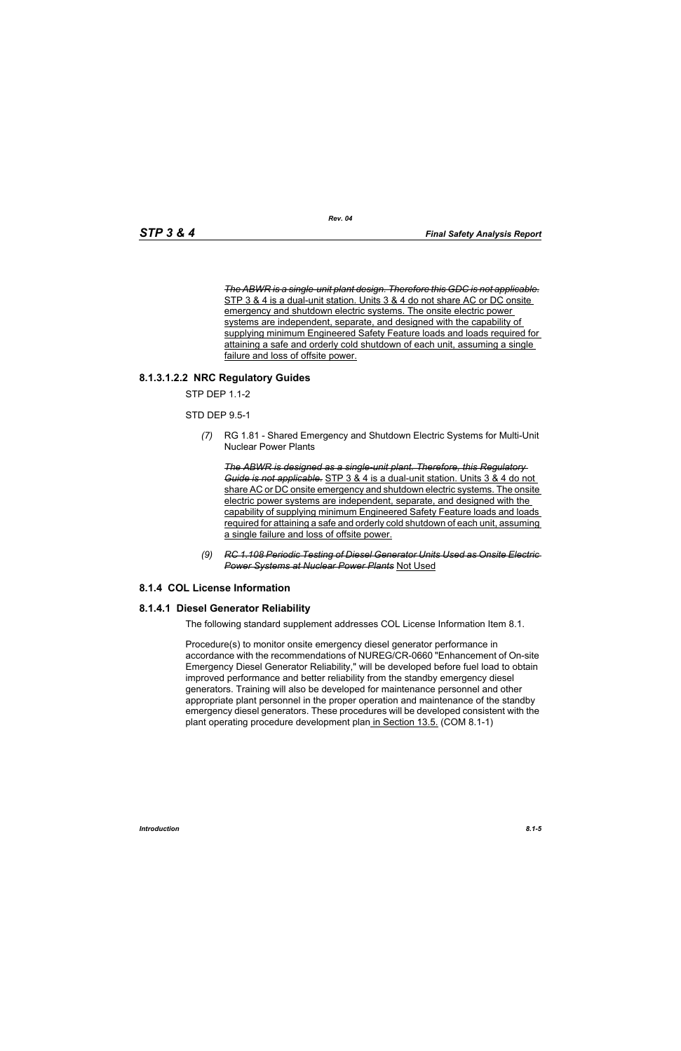*The ABWR is a single-unit plant design. Therefore this GDC is not applicable.* STP 3 & 4 is a dual-unit station. Units 3 & 4 do not share AC or DC onsite emergency and shutdown electric systems. The onsite electric power systems are independent, separate, and designed with the capability of supplying minimum Engineered Safety Feature loads and loads required for attaining a safe and orderly cold shutdown of each unit, assuming a single failure and loss of offsite power.

# **8.1.3.1.2.2 NRC Regulatory Guides**

STP DEP 1.1-2

STD DEP 9.5-1

*(7)* RG 1.81 - Shared Emergency and Shutdown Electric Systems for Multi-Unit Nuclear Power Plants

*The ABWR is designed as a single-unit plant. Therefore, this Regulatory Guide is not applicable.* STP 3 & 4 is a dual-unit station. Units 3 & 4 do not share AC or DC onsite emergency and shutdown electric systems. The onsite electric power systems are independent, separate, and designed with the capability of supplying minimum Engineered Safety Feature loads and loads required for attaining a safe and orderly cold shutdown of each unit, assuming a single failure and loss of offsite power.

*(9) RC 1.108 Periodic Testing of Diesel Generator Units Used as Onsite Electric Power Systems at Nuclear Power Plants* Not Used

## **8.1.4 COL License Information**

### **8.1.4.1 Diesel Generator Reliability**

The following standard supplement addresses COL License Information Item 8.1.

Procedure(s) to monitor onsite emergency diesel generator performance in accordance with the recommendations of NUREG/CR-0660 "Enhancement of On-site Emergency Diesel Generator Reliability," will be developed before fuel load to obtain improved performance and better reliability from the standby emergency diesel generators. Training will also be developed for maintenance personnel and other appropriate plant personnel in the proper operation and maintenance of the standby emergency diesel generators. These procedures will be developed consistent with the plant operating procedure development plan in Section 13.5. (COM 8.1-1)